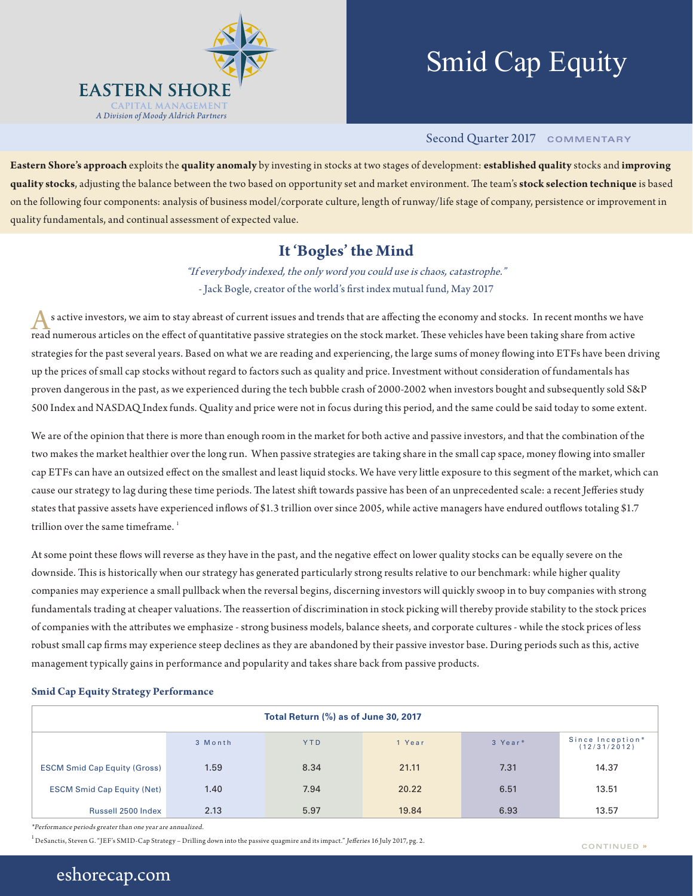

# Smid Cap Equity

## Second Quarter 2017 **COMMENTARY**

**Eastern Shore's approach** exploits the **quality anomaly** by investing in stocks at two stages of development: **established quality** stocks and **improving quality stocks**, adjusting the balance between the two based on opportunity set and market environment. The team's **stock selection technique** is based on the following four components: analysis of business model/corporate culture, length of runway/life stage of company, persistence or improvement in quality fundamentals, and continual assessment of expected value.

## **It 'Bogles' the Mind**

"If everybody indexed, the only word you could use is chaos, catastrophe." - Jack Bogle, creator of the world's first index mutual fund, May 2017

s active investors, we aim to stay abreast of current issues and trends that are affecting the economy and stocks. In recent months we have read numerous articles on the effect of quantitative passive strategies on the stock market. These vehicles have been taking share from active strategies for the past several years. Based on what we are reading and experiencing, the large sums of money flowing into ETFs have been driving up the prices of small cap stocks without regard to factors such as quality and price. Investment without consideration of fundamentals has proven dangerous in the past, as we experienced during the tech bubble crash of 2000-2002 when investors bought and subsequently sold S&P 500 Index and NASDAQ Index funds. Quality and price were not in focus during this period, and the same could be said today to some extent.

We are of the opinion that there is more than enough room in the market for both active and passive investors, and that the combination of the two makes the market healthier over the long run. When passive strategies are taking share in the small cap space, money flowing into smaller cap ETFs can have an outsized effect on the smallest and least liquid stocks. We have very little exposure to this segment of the market, which can cause our strategy to lag during these time periods. The latest shift towards passive has been of an unprecedented scale: a recent Jefferies study states that passive assets have experienced inflows of \$1.3 trillion over since 2005, while active managers have endured outflows totaling \$1.7 trillion over the same timeframe. $1$ 

At some point these flows will reverse as they have in the past, and the negative effect on lower quality stocks can be equally severe on the downside. This is historically when our strategy has generated particularly strong results relative to our benchmark: while higher quality companies may experience a small pullback when the reversal begins, discerning investors will quickly swoop in to buy companies with strong fundamentals trading at cheaper valuations. The reassertion of discrimination in stock picking will thereby provide stability to the stock prices of companies with the attributes we emphasize - strong business models, balance sheets, and corporate cultures - while the stock prices of less robust small cap firms may experience steep declines as they are abandoned by their passive investor base. During periods such as this, active management typically gains in performance and popularity and takes share back from passive products.

#### **Smid Cap Equity Strategy Performance**

| Total Return (%) as of June 30, 2017 |         |            |        |         |                                  |  |  |
|--------------------------------------|---------|------------|--------|---------|----------------------------------|--|--|
|                                      | 3 Month | <b>YTD</b> | 1 Year | 3 Year* | Since Inception*<br>(12/31/2012) |  |  |
| <b>ESCM Smid Cap Equity (Gross)</b>  | 1.59    | 8.34       | 21.11  | 7.31    | 14.37                            |  |  |
| <b>ESCM Smid Cap Equity (Net)</b>    | 1.40    | 7.94       | 20.22  | 6.51    | 13.51                            |  |  |
| Russell 2500 Index                   | 2.13    | 5.97       | 19.84  | 6.93    | 13.57                            |  |  |

\*Performance periods greater than one year are annualized.

 $^1$ DeSanctis, Steven G. "JEF's SMID-Cap Strategy – Drilling down into the passive quagmire and its impact." *Jefferies* 16 July 2017, pg. 2. <br>  $\text{COMINING} \rightarrow \text{COMINING}$ 

# eshorecap.com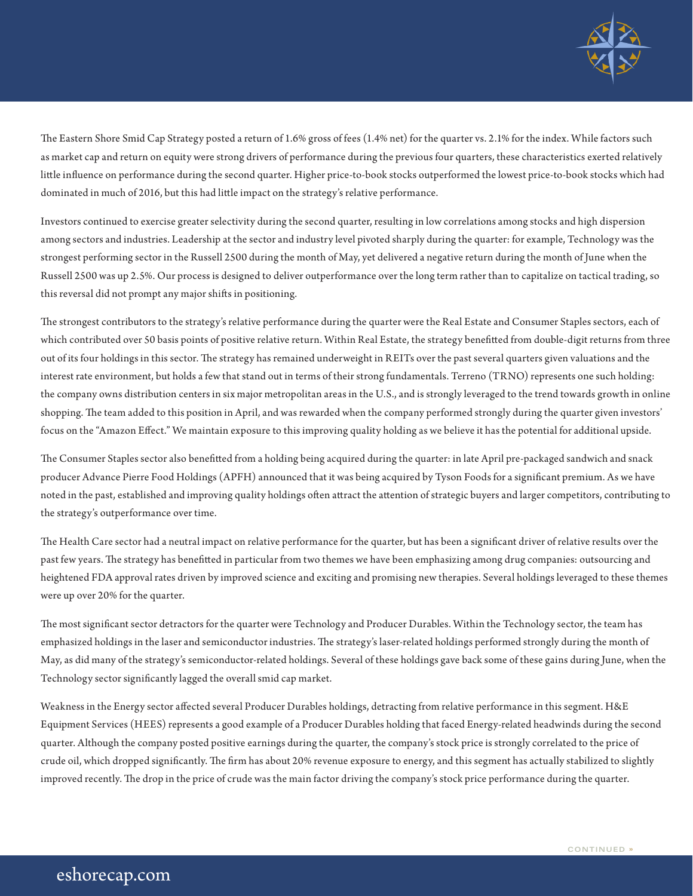

The Eastern Shore Smid Cap Strategy posted a return of 1.6% gross of fees (1.4% net) for the quarter vs. 2.1% for the index. While factors such as market cap and return on equity were strong drivers of performance during the previous four quarters, these characteristics exerted relatively little influence on performance during the second quarter. Higher price-to-book stocks outperformed the lowest price-to-book stocks which had dominated in much of 2016, but this had little impact on the strategy's relative performance.

Investors continued to exercise greater selectivity during the second quarter, resulting in low correlations among stocks and high dispersion among sectors and industries. Leadership at the sector and industry level pivoted sharply during the quarter: for example, Technology was the strongest performing sector in the Russell 2500 during the month of May, yet delivered a negative return during the month of June when the Russell 2500 was up 2.5%. Our process is designed to deliver outperformance over the long term rather than to capitalize on tactical trading, so this reversal did not prompt any major shifts in positioning.

The strongest contributors to the strategy's relative performance during the quarter were the Real Estate and Consumer Staples sectors, each of which contributed over 50 basis points of positive relative return. Within Real Estate, the strategy benefitted from double-digit returns from three out of its four holdings in this sector. The strategy has remained underweight in REITs over the past several quarters given valuations and the interest rate environment, but holds a few that stand out in terms of their strong fundamentals. Terreno (TRNO) represents one such holding: the company owns distribution centers in six major metropolitan areas in the U.S., and is strongly leveraged to the trend towards growth in online shopping. The team added to this position in April, and was rewarded when the company performed strongly during the quarter given investors' focus on the "Amazon Effect." We maintain exposure to this improving quality holding as we believe it has the potential for additional upside.

The Consumer Staples sector also benefitted from a holding being acquired during the quarter: in late April pre-packaged sandwich and snack producer Advance Pierre Food Holdings (APFH) announced that it was being acquired by Tyson Foods for a significant premium. As we have noted in the past, established and improving quality holdings often attract the attention of strategic buyers and larger competitors, contributing to the strategy's outperformance over time.

The Health Care sector had a neutral impact on relative performance for the quarter, but has been a significant driver of relative results over the past few years. The strategy has benefitted in particular from two themes we have been emphasizing among drug companies: outsourcing and heightened FDA approval rates driven by improved science and exciting and promising new therapies. Several holdings leveraged to these themes were up over 20% for the quarter.

The most significant sector detractors for the quarter were Technology and Producer Durables. Within the Technology sector, the team has emphasized holdings in the laser and semiconductor industries. The strategy's laser-related holdings performed strongly during the month of May, as did many of the strategy's semiconductor-related holdings. Several of these holdings gave back some of these gains during June, when the Technology sector significantly lagged the overall smid cap market.

Weakness in the Energy sector affected several Producer Durables holdings, detracting from relative performance in this segment. H&E Equipment Services (HEES) represents a good example of a Producer Durables holding that faced Energy-related headwinds during the second quarter. Although the company posted positive earnings during the quarter, the company's stock price is strongly correlated to the price of crude oil, which dropped significantly. The firm has about 20% revenue exposure to energy, and this segment has actually stabilized to slightly improved recently. The drop in the price of crude was the main factor driving the company's stock price performance during the quarter.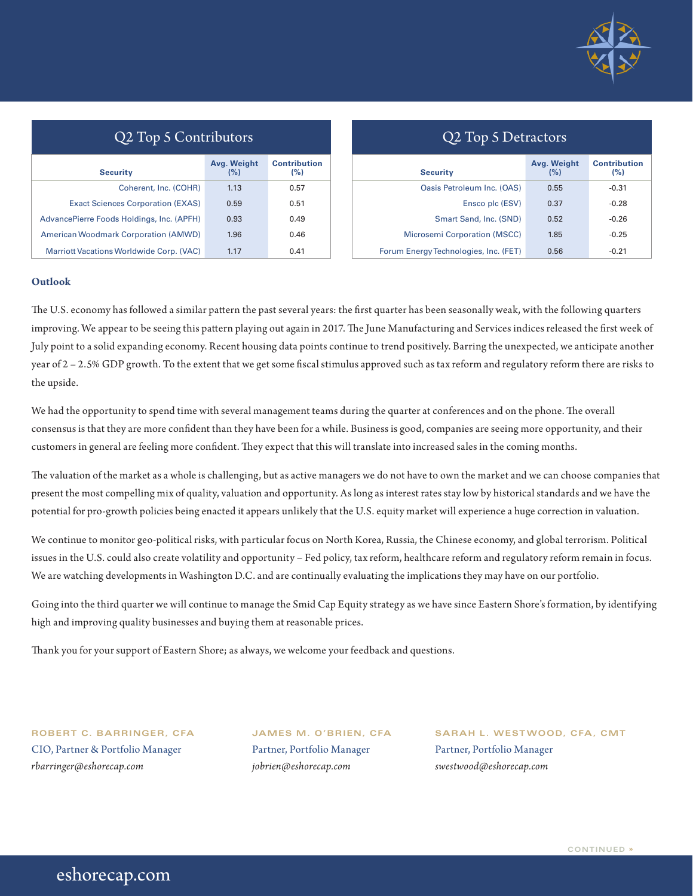

| Q2 Top 5 Contributors                           |                    |                            |  |  |  |
|-------------------------------------------------|--------------------|----------------------------|--|--|--|
| <b>Security</b>                                 | Avg. Weight<br>(%) | <b>Contribution</b><br>(%) |  |  |  |
| Coherent, Inc. (COHR)                           | 1.13               | 0.57                       |  |  |  |
| <b>Exact Sciences Corporation (EXAS)</b>        | 0.59               | 0.51                       |  |  |  |
| AdvancePierre Foods Holdings, Inc. (APFH)       | 0.93               | 0.49                       |  |  |  |
| <b>American Woodmark Corporation (AMWD)</b>     | 1.96               | 0.46                       |  |  |  |
| <b>Marriott Vacations Worldwide Corp. (VAC)</b> | 1.17               | 0.41                       |  |  |  |

| Q2 Top 5 Detractors |  |
|---------------------|--|
|---------------------|--|

| <b>Security</b>                       | Avg. Weight<br>(%) | <b>Contribution</b><br>(%) |
|---------------------------------------|--------------------|----------------------------|
| Oasis Petroleum Inc. (OAS)            | 0.55               | $-0.31$                    |
| Ensco plc (ESV)                       | 0.37               | $-0.28$                    |
| Smart Sand, Inc. (SND)                | 0.52               | $-0.26$                    |
| <b>Microsemi Corporation (MSCC)</b>   | 1.85               | $-0.25$                    |
| Forum Energy Technologies, Inc. (FET) | 0.56               | $-0.21$                    |

### **Outlook**

The U.S. economy has followed a similar pattern the past several years: the first quarter has been seasonally weak, with the following quarters improving. We appear to be seeing this pattern playing out again in 2017. The June Manufacturing and Services indices released the first week of July point to a solid expanding economy. Recent housing data points continue to trend positively. Barring the unexpected, we anticipate another year of 2 – 2.5% GDP growth. To the extent that we get some fiscal stimulus approved such as tax reform and regulatory reform there are risks to the upside.

We had the opportunity to spend time with several management teams during the quarter at conferences and on the phone. The overall consensus is that they are more confident than they have been for a while. Business is good, companies are seeing more opportunity, and their customers in general are feeling more confident. They expect that this will translate into increased sales in the coming months.

The valuation of the market as a whole is challenging, but as active managers we do not have to own the market and we can choose companies that present the most compelling mix of quality, valuation and opportunity. As long as interest rates stay low by historical standards and we have the potential for pro-growth policies being enacted it appears unlikely that the U.S. equity market will experience a huge correction in valuation.

We continue to monitor geo-political risks, with particular focus on North Korea, Russia, the Chinese economy, and global terrorism. Political issues in the U.S. could also create volatility and opportunity – Fed policy, tax reform, healthcare reform and regulatory reform remain in focus. We are watching developments in Washington D.C. and are continually evaluating the implications they may have on our portfolio.

Going into the third quarter we will continue to manage the Smid Cap Equity strategy as we have since Eastern Shore's formation, by identifying high and improving quality businesses and buying them at reasonable prices.

Thank you for your support of Eastern Shore; as always, we welcome your feedback and questions.

CIO, Partner & Portfolio Manager Partner, Portfolio Manager Partner, Portfolio Manager *rbarringer@eshorecap.com jobrien@eshorecap.com swestwood@eshorecap.com*

**ROBERT C. BARRINGER, CFA JAMES M. O'BRIEN, CFA SARAH L. WESTWOOD, CFA, CMT**